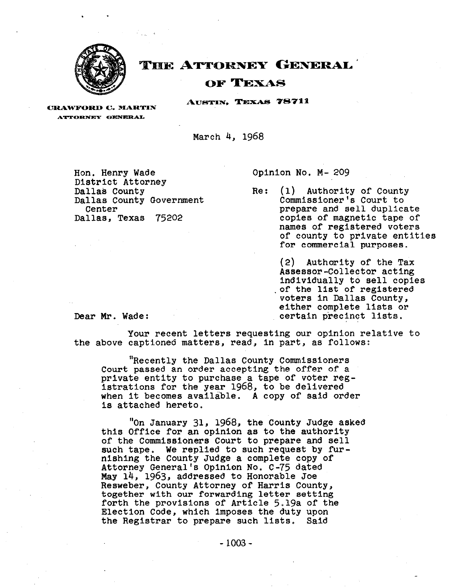

# **THE ATTORNEY GENERAL**

## OF TEXAS

AUSTIN, TEXAS 78711

**CRAWFORD C. MARTIN ATTORNEY GENERAL** 

March 4, 1968

Hon. Henry Wade District Attorney Dallas County Dallas County Government Center Dallas, Texas 75202

Opinion No. M- 209

Re: (1) Authority of County Commissioner's Court to prepare and sell duplicate copies of magnetic tape of names of registered voters of county to private entities for commercial purposes.

(2) Authority of the Tax Assessor-Collector acting individually to sell copies .of the list of registered voters in Dallas County, either complete lists or Dear Mr. Wade: ertain precinct lists.

Your recent letters requesting our opinion relative to the above captioned matters, read, in part, as follows:

"Recently the Dallas County Commissioners Court passed an order accepting the offer of a private entity to purchase a tape of voter registrations for the year **1968,** to be delivered when it becomes available. A copy of said order is attached hereto.

"On January **31, 1968,** the County Judge asked this Office for an opinion as to the authority of the Commissioners Court to prepare and sell such tape. We replied to such request by furnishing the County Judge a complete copy of Attorney General's Opinion No. C-75 dated May 14, **1963,** addressed to Honorable Joe Resweber, County Attorney of Harris County, together with our forwarding letter setting forth the provisions of Article 5.19a of the Election Code, which imposes the duty upon the Registrar to prepare such lists. Said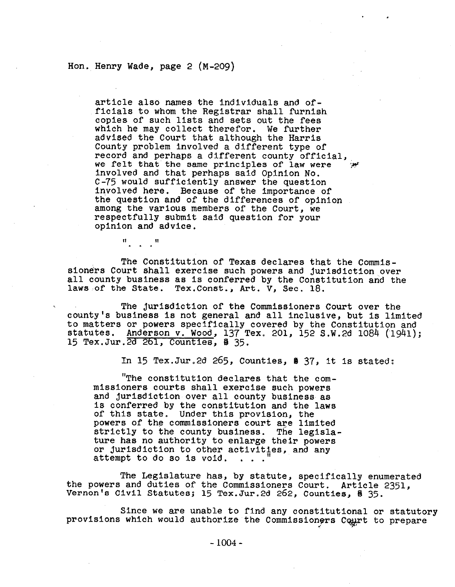#### Hon.~ Henry Wade, page 2 (M-209)

article also names the individuals and officials to whom the Registrar shall furnish copies of such lists and sets out the fees which he may collect therefor. We further advised the Court that although the Harris County problem involved a different type of record and perhaps a different county official, we felt that the same principles of law were involved and that perhaps said Opinion No. C-75 would sufficiently answer the question involved here. Because of the importance of the question and of the differences of opinion among the various members of the Court, we respectfully submit said question for your opinion and advice.

. ,

 $\mathfrak{m}_{\mathbb{Z}}$  and  $\mathfrak{m}_{\mathbb{Z}}$ 

The Constitution of Texas declares that the Commissioners Court shall exercise such powers and jurisdiction over all county business as is conferred by the Constitution and the laws of the State. Tex.Const., Art. V. Sec. 18.

The jurisdiction of the Commissioners Court over the county's business is not general and all Inclusive, but is limited to matters or powers specifically covered by the Constitution and statutes. Anderson v. Wood, 137 Tex. 201, 152 S.W.2d 1084 (1941); 15 Tex.Jur.2d 261, Counties, % 35.

In 15 Tex.Jur.2d 265, Counties, % 37, it is stated:

"The constitution declares that the commissioners courts shall exercise such powers and jurisdiction over all county business as Is conferred by the constitution and the laws of this state. Under this provision, the powers of the commissioners court are limited strictly to the county business. The legislature has no authority to enlarge their powers or jurisdiction to other activities, and any attempt to do so is void. . . .

The Legislature has, by statute, specifically enumerated the powers and duties of the Commissioners Court. Article 2351, Vernon's Civil Statutes; 15 Tex.Jur.2d 262, Counties, % 35.

Since we are unable to find any constitutional or statutory provisions which would authorize the Commissioners Court to prepare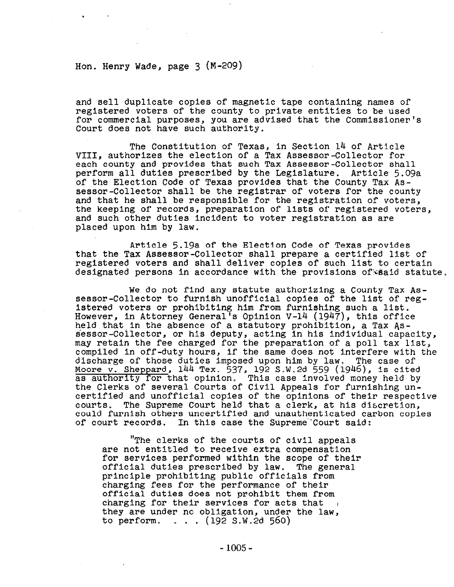Hon. Henry Wade, page **3** (M-209)

and sell duplicate copies of magnetic tape containing names of registered voters of the county to private entities to be used for commercial purposes, you are advised that the Commissioner's Court does not have such authority.

The Constitution of Texas, In Section 14 of Article VIII, authorizes the election of a Tax Assessor-Collector for each county and provides that such Tax Assessor-Collector shall perform all duties prescribed by the Legislature. Article 5.09a of the Election Code of Texas provides that the County Tax Assessor-Collector shall be the registrar of voters for the county and that he shall be responsible for the registration of voters, the keeping of records, preparation of lists of registered voters, and such other duties incident to voter registration as are placed upon him by law.

Article 5.19a of the Election Code of Texas provides that the Tax Assessor-Collector shall prepare a certified list of registered voters and shall deliver copies of such list to certain designated persons in accordance with the provisions of said statute.

We do not find any statute authorizing a County Tax Assessor-Collector to furnish unofficial copies of the list of registered voters or prohibiting him from furnishing such a list. However, in Attorney General<sup>1</sup>s Opinion V-14 (1947), this office held that,in the absence of a statutory prohibition, a Tax Assessor-Collector, or his deputy, acting in his individual capacity, may retain the fee charged for the preparation of a poll tax list, compiled in off-duty hours, ff the same does not interfere with the discharge of those duties imposed upon him by law. The case of Moore v. Sheppard, **144** Tex. **537,** 192 S.W.2d 559 (1946), is cited as authority for that opinion. This case involved money held by the Clerks of several Courts of Civil Appeals for furnishing uncertified and unofficial copies of the opinions of their respective courts. The Supreme Court held that a clerk, at his discretion, could furnish others uncertified and unauthenticated carbon copies of court records. In this case the Supreme'Court said:

"The clerks of the courts of civil appeals are not entitled to receive extra compensation for services performed within the scope of their<br>official duties prescribed by law. The general official duties prescribed by law. principle prohibiting public officials from charging fees for the performance of their official duties does not prohibit them from charging **for** their services for acts that they are under no obligation, under the law, to perform. . . . (192 S.W.2d 560)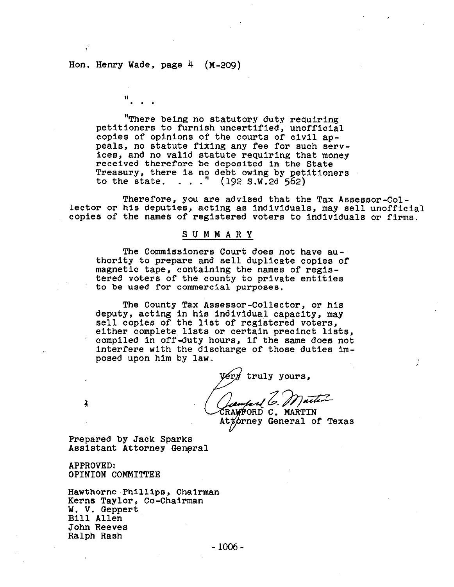## Hon. Henry Wade, page 4 (M-209)

11 . . .

'There being no statutory duty requiring petitioners to furnish uncertified, unofficial copies of opinions of the courts of civil appeals, no statute fixing any fee for such services, and no valid statute requiring that money received therefore be deposited In the State Treasury, there is no debt owing by petitioners<br>to the state. . . . "  $(192 S.W.2d 562)$ to the state.  $\ldots$ ."

Therefore, you are advised that the Tax Assessor-Collector or his deputies, acting as Individuals, may sell unofficial copies of the names of registered voters to Individuals or firms.

#### SUMMARY

The Commissioners Court does not have authority to prepare and sell duplicate copies of magnetic tape, containing the names of registered voters of the county to private entities to be used for commercial purposes.

The County Tax Assessor-Collector, or his deputy, acting In his individual capacity, may sell copies of the list of registered voters, either complete lists or certain precinct lists, compiled in off-duty hours, If the same does not interfere with the discharge of those duties imposed upon him by law.

truly yours,

Jamped & Mutter RAWFORD C. MARTIN

Attorney General of Texas

Prepared by Jack Sparks Assistant Attorney General

APPROVED: OPINION COMMITTEE

Ĵ.

Hawthorne .Phllllps, Chairman Kerns Taylor, Co-Chairman W. V. Geppert Bill Allen John Reeves Ralph Rash